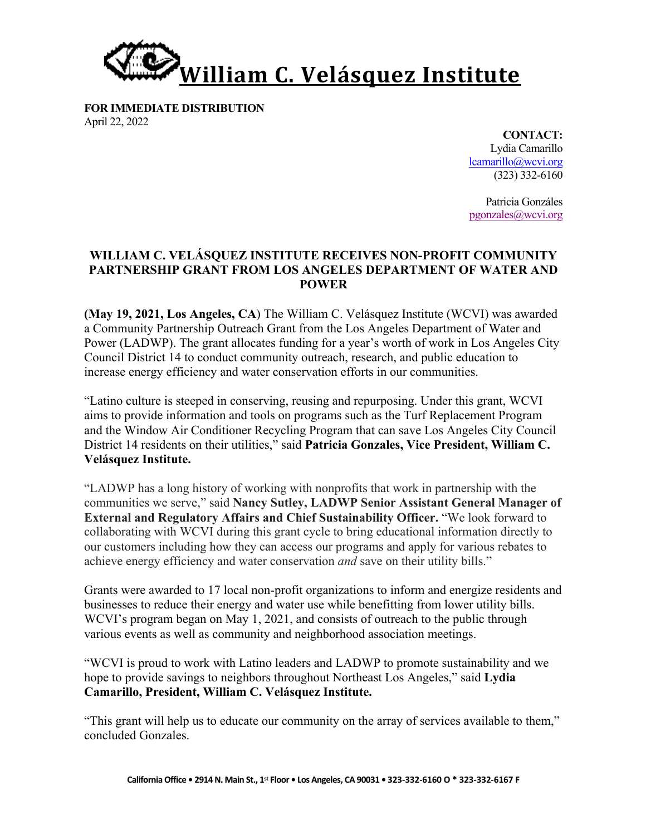

**FOR IMMEDIATE DISTRIBUTION** April 22, 2022

**CONTACT:** Lydia Camarillo lcamarillo@wcvi.org (323) 332-6160

Patricia Gonzáles pgonzales@wcvi.org

## **WILLIAM C. VELÁSQUEZ INSTITUTE RECEIVES NON-PROFIT COMMUNITY PARTNERSHIP GRANT FROM LOS ANGELES DEPARTMENT OF WATER AND POWER**

**(May 19, 2021, Los Angeles, CA**) The William C. Velásquez Institute (WCVI) was awarded a Community Partnership Outreach Grant from the Los Angeles Department of Water and Power (LADWP). The grant allocates funding for a year's worth of work in Los Angeles City Council District 14 to conduct community outreach, research, and public education to increase energy efficiency and water conservation efforts in our communities.

"Latino culture is steeped in conserving, reusing and repurposing. Under this grant, WCVI aims to provide information and tools on programs such as the Turf Replacement Program and the Window Air Conditioner Recycling Program that can save Los Angeles City Council District 14 residents on their utilities," said **Patricia Gonzales, Vice President, William C. Velásquez Institute.**

"LADWP has a long history of working with nonprofits that work in partnership with the communities we serve," said **Nancy Sutley, LADWP Senior Assistant General Manager of External and Regulatory Affairs and Chief Sustainability Officer.** "We look forward to collaborating with WCVI during this grant cycle to bring educational information directly to our customers including how they can access our programs and apply for various rebates to achieve energy efficiency and water conservation *and* save on their utility bills."

Grants were awarded to 17 local non-profit organizations to inform and energize residents and businesses to reduce their energy and water use while benefitting from lower utility bills. WCVI's program began on May 1, 2021, and consists of outreach to the public through various events as well as community and neighborhood association meetings.

"WCVI is proud to work with Latino leaders and LADWP to promote sustainability and we hope to provide savings to neighbors throughout Northeast Los Angeles," said **Lydia Camarillo, President, William C. Velásquez Institute.**

"This grant will help us to educate our community on the array of services available to them," concluded Gonzales.